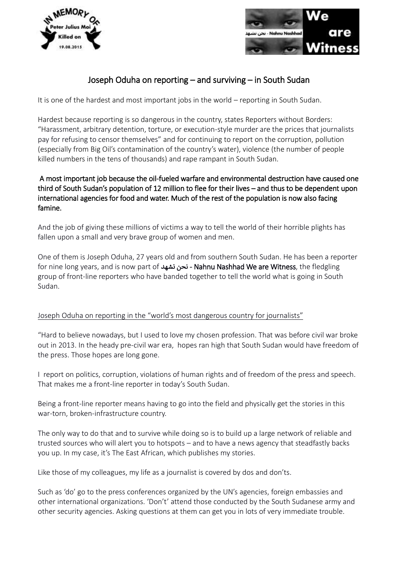



## Joseph Oduha on reporting – and surviving – in South Sudan

It is one of the hardest and most important jobs in the world – reporting in South Sudan.

Hardest because reporting is so dangerous in the country, states Reporters without Borders: "Harassment, arbitrary detention, torture, or execution-style murder are the prices that journalists pay for refusing to censor themselves" and for continuing to report on the corruption, pollution (especially from Big Oil's contamination of the country's water), violence (the number of people killed numbers in the tens of thousands) and rape rampant in South Sudan.

## A most important job because the oil-fueled warfare and environmental destruction have caused one third of South Sudan's population of 12 million to flee for their lives – and thus to be dependent upon international agencies for food and water. Much of the rest of the population is now also facing famine.

And the job of giving these millions of victims a way to tell the world of their horrible plights has fallen upon a small and very brave group of women and men.

One of them is Joseph Oduha, 27 years old and from southern South Sudan. He has been a reporter for nine long years, and is now part of نشهد نحن - Nahnu Nashhad We are Witness, the fledgling group of front-line reporters who have banded together to tell the world what is going in South Sudan.

## Joseph Oduha on reporting in the "world's most dangerous country for journalists"

"Hard to believe nowadays, but I used to love my chosen profession. That was before civil war broke out in 2013. In the heady pre-civil war era, hopes ran high that South Sudan would have freedom of the press. Those hopes are long gone.

I report on politics, corruption, violations of human rights and of freedom of the press and speech. That makes me a front-line reporter in today's South Sudan.

Being a front-line reporter means having to go into the field and physically get the stories in this war-torn, broken-infrastructure country.

The only way to do that and to survive while doing so is to build up a large network of reliable and trusted sources who will alert you to hotspots – and to have a news agency that steadfastly backs you up. In my case, it's The East African, which publishes my stories.

Like those of my colleagues, my life as a journalist is covered by dos and don'ts.

Such as 'do' go to the press conferences organized by the UN's agencies, foreign embassies and other international organizations. 'Don't' attend those conducted by the South Sudanese army and other security agencies. Asking questions at them can get you in lots of very immediate trouble.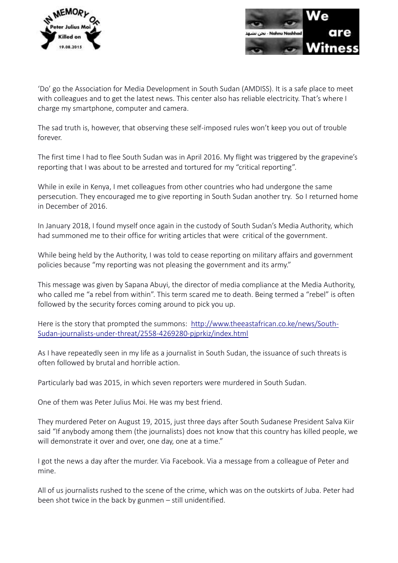



'Do' go the Association for Media Development in South Sudan (AMDISS). It is a safe place to meet with colleagues and to get the latest news. This center also has reliable electricity. That's where I charge my smartphone, computer and camera.

The sad truth is, however, that observing these self-imposed rules won't keep you out of trouble forever.

The first time I had to flee South Sudan was in April 2016. My flight was triggered by the grapevine's reporting that I was about to be arrested and tortured for my "critical reporting".

While in exile in Kenya, I met colleagues from other countries who had undergone the same persecution. They encouraged me to give reporting in South Sudan another try. So I returned home in December of 2016.

In January 2018, I found myself once again in the custody of South Sudan's Media Authority, which had summoned me to their office for writing articles that were critical of the government.

While being held by the Authority, I was told to cease reporting on military affairs and government policies because "my reporting was not pleasing the government and its army."

This message was given by Sapana Abuyi, the director of media compliance at the Media Authority, who called me "a rebel from within". This term scared me to death. Being termed a "rebel" is often followed by the security forces coming around to pick you up.

Here is the story that prompted the summons: [http://www.theeastafrican.co.ke/news/South-](http://www.theeastafrican.co.ke/news/South-Sudan-journalists-under-threat/2558-4269280-pjprkiz/index.html)[Sudan-journalists-under-threat/2558-4269280-pjprkiz/index.html](http://www.theeastafrican.co.ke/news/South-Sudan-journalists-under-threat/2558-4269280-pjprkiz/index.html) 

As I have repeatedly seen in my life as a journalist in South Sudan, the issuance of such threats is often followed by brutal and horrible action.

Particularly bad was 2015, in which seven reporters were murdered in South Sudan.

One of them was Peter Julius Moi. He was my best friend.

They murdered Peter on August 19, 2015, just three days after South Sudanese President Salva Kiir said "If anybody among them (the journalists) does not know that this country has killed people, we will demonstrate it over and over, one day, one at a time."

I got the news a day after the murder. Via Facebook. Via a message from a colleague of Peter and mine.

All of us journalists rushed to the scene of the crime, which was on the outskirts of Juba. Peter had been shot twice in the back by gunmen – still unidentified.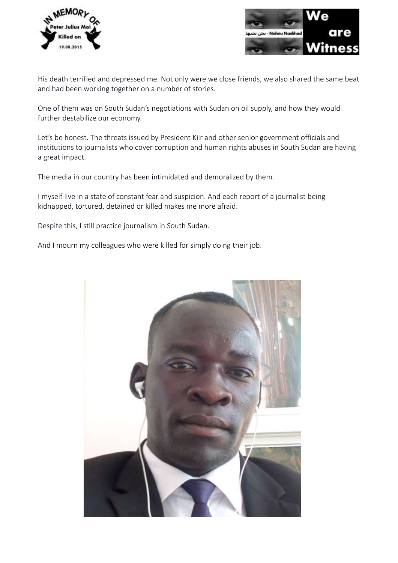



His death terrified and depressed me. Not only were we close friends, we also shared the same beat and had been working together on a number of stories.

One of them was on South Sudan's negotiations with Sudan on oil supply, and how they would further destabilize our economy.

Let's be honest. The threats issued by President Kiir and other senior government officials and institutions to journalists who cover corruption and human rights abuses in South Sudan are having a great impact.

The media in our country has been intimidated and demoralized by them.

I myself live in a state of constant fear and suspicion. And each report of a journalist being kidnapped, tortured, detained or killed makes me more afraid.

Despite this, I still practice journalism in South Sudan.

And I mourn my colleagues who were killed for simply doing their job.